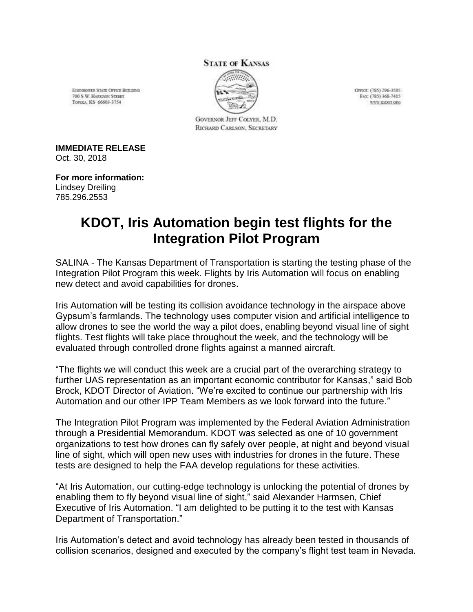## **STATE OF KANSAS**



GOVERNOR JEFF COLYER, M.D. RICHARD CARLSON, SECRETARY OFFICE: (785) 296-3585 FAX: (785) 368-7415 WWW.KSDOT.ORG

EISENHOWER STATE OFFICE BUILDING 700 S.W. HARRSON STREET TOPEKA, KS 66603-3754

**IMMEDIATE RELEASE**

Oct. 30, 2018

**For more information:** Lindsey Dreiling 785.296.2553

## **KDOT, Iris Automation begin test flights for the Integration Pilot Program**

SALINA - The Kansas Department of Transportation is starting the testing phase of the Integration Pilot Program this week. Flights by Iris Automation will focus on enabling new detect and avoid capabilities for drones.

Iris Automation will be testing its collision avoidance technology in the airspace above Gypsum's farmlands. The technology uses computer vision and artificial intelligence to allow drones to see the world the way a pilot does, enabling beyond visual line of sight flights. Test flights will take place throughout the week, and the technology will be evaluated through controlled drone flights against a manned aircraft.

"The flights we will conduct this week are a crucial part of the overarching strategy to further UAS representation as an important economic contributor for Kansas," said Bob Brock, KDOT Director of Aviation. "We're excited to continue our partnership with Iris Automation and our other IPP Team Members as we look forward into the future."

The Integration Pilot Program was implemented by the Federal Aviation Administration through a Presidential Memorandum. KDOT was selected as one of 10 government organizations to test how drones can fly safely over people, at night and beyond visual line of sight, which will open new uses with industries for drones in the future. These tests are designed to help the FAA develop regulations for these activities.

"At Iris Automation, our cutting-edge technology is unlocking the potential of drones by enabling them to fly beyond visual line of sight," said Alexander Harmsen, Chief Executive of Iris Automation. "I am delighted to be putting it to the test with Kansas Department of Transportation."

Iris Automation's detect and avoid technology has already been tested in thousands of collision scenarios, designed and executed by the company's flight test team in Nevada.